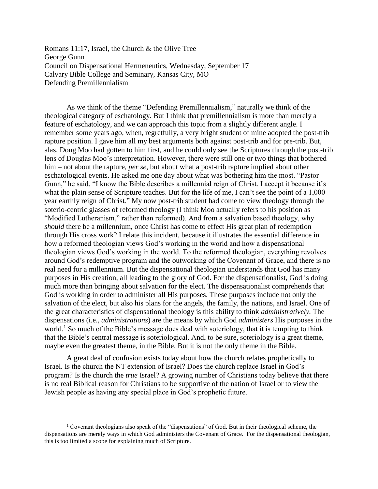Romans 11:17, Israel, the Church & the Olive Tree George Gunn Council on Dispensational Hermeneutics, Wednesday, September 17 Calvary Bible College and Seminary, Kansas City, MO Defending Premillennialism

As we think of the theme "Defending Premillennialism," naturally we think of the theological category of eschatology. But I think that premillennialism is more than merely a feature of eschatology, and we can approach this topic from a slightly different angle. I remember some years ago, when, regretfully, a very bright student of mine adopted the post-trib rapture position. I gave him all my best arguments both against post-trib and for pre-trib. But, alas, Doug Moo had gotten to him first, and he could only see the Scriptures through the post-trib lens of Douglas Moo's interpretation. However, there were still one or two things that bothered him – not about the rapture, *per se,* but about what a post-trib rapture implied about other eschatological events. He asked me one day about what was bothering him the most. "Pastor Gunn," he said, "I know the Bible describes a millennial reign of Christ. I accept it because it's what the plain sense of Scripture teaches. But for the life of me, I can't see the point of a 1,000 year earthly reign of Christ." My now post-trib student had come to view theology through the soterio-centric glasses of reformed theology (I think Moo actually refers to his position as "Modified Lutheranism," rather than reformed). And from a salvation based theology, why *should* there be a millennium, once Christ has come to effect His great plan of redemption through His cross work? I relate this incident, because it illustrates the essential difference in how a reformed theologian views God's working in the world and how a dispensational theologian views God's working in the world. To the reformed theologian, everything revolves around God's redemptive program and the outworking of the Covenant of Grace, and there is no real need for a millennium. But the dispensational theologian understands that God has many purposes in His creation, all leading to the glory of God. For the dispensationalist, God is doing much more than bringing about salvation for the elect. The dispensationalist comprehends that God is working in order to administer all His purposes. These purposes include not only the salvation of the elect, but also his plans for the angels, the family, the nations, and Israel. One of the great characteristics of dispensational theology is this ability to think *administratively.* The dispensations (i.e., *administrations*) are the means by which God *administers* His purposes in the world.<sup>1</sup> So much of the Bible's message does deal with soteriology, that it is tempting to think that the Bible's central message is soteriological. And, to be sure, soteriology is a great theme, maybe even the greatest theme, in the Bible. But it is not the only theme in the Bible.

A great deal of confusion exists today about how the church relates prophetically to Israel. Is the church the NT extension of Israel? Does the church replace Israel in God's program? Is the church the *true* Israel? A growing number of Christians today believe that there is no real Biblical reason for Christians to be supportive of the nation of Israel or to view the Jewish people as having any special place in God's prophetic future.

<sup>&</sup>lt;sup>1</sup> Covenant theologians also speak of the "dispensations" of God. But in their theological scheme, the dispensations are merely ways in which God administers the Covenant of Grace. For the dispensational theologian, this is too limited a scope for explaining much of Scripture.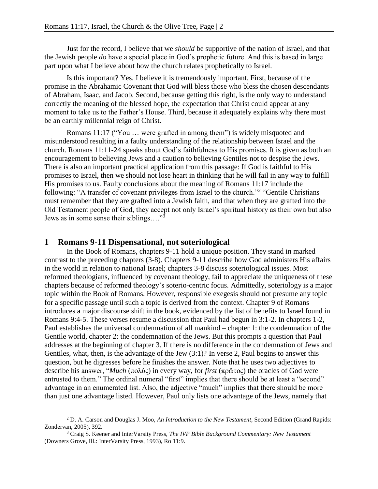Just for the record, I believe that we *should* be supportive of the nation of Israel, and that the Jewish people *do* have a special place in God's prophetic future. And this is based in large part upon what I believe about how the church relates prophetically to Israel.

Is this important? Yes. I believe it is tremendously important. First, because of the promise in the Abrahamic Covenant that God will bless those who bless the chosen descendants of Abraham, Isaac, and Jacob. Second, because getting this right, is the only way to understand correctly the meaning of the blessed hope, the expectation that Christ could appear at any moment to take us to the Father's House. Third, because it adequately explains why there must be an earthly millennial reign of Christ.

Romans 11:17 ("You … were grafted in among them") is widely misquoted and misunderstood resulting in a faulty understanding of the relationship between Israel and the church. Romans 11:11-24 speaks about God's faithfulness to His promises. It is given as both an encouragement to believing Jews and a caution to believing Gentiles not to despise the Jews. There is also an important practical application from this passage: If God is faithful to His promises to Israel, then we should not lose heart in thinking that he will fail in any way to fulfill His promises to us. Faulty conclusions about the meaning of Romans 11:17 include the following: "A transfer of covenant privileges from Israel to the church."<sup>2</sup> "Gentile Christians must remember that they are grafted into a Jewish faith, and that when they are grafted into the Old Testament people of God, they accept not only Israel's spiritual history as their own but also Jews as in some sense their siblings…."<sup>3</sup>

## **1 Romans 9-11 Dispensational, not soteriological**

 $\overline{a}$ 

In the Book of Romans, chapters 9-11 hold a unique position. They stand in marked contrast to the preceding chapters (3-8). Chapters 9-11 describe how God administers His affairs in the world in relation to national Israel; chapters 3-8 discuss soteriological issues. Most reformed theologians, influenced by covenant theology, fail to appreciate the uniqueness of these chapters because of reformed theology's soterio-centric focus. Admittedly, soteriology is a major topic within the Book of Romans. However, responsible exegesis should not presume any topic for a specific passage until such a topic is derived from the context. Chapter 9 of Romans introduces a major discourse shift in the book, evidenced by the list of benefits to Israel found in Romans 9:4-5. These verses resume a discussion that Paul had begun in 3:1-2. In chapters 1-2, Paul establishes the universal condemnation of all mankind – chapter 1: the condemnation of the Gentile world, chapter 2: the condemnation of the Jews. But this prompts a question that Paul addresses at the beginning of chapter 3. If there is no difference in the condemnation of Jews and Gentiles, what, then, is the advantage of the Jew (3:1)? In verse 2, Paul begins to answer this question, but he digresses before he finishes the answer. Note that he uses two adjectives to describe his answer, "*Much* (πολύς) in every way, for *first* (πρῶτος) the oracles of God were entrusted to them." The ordinal numeral "first" implies that there should be at least a "second" advantage in an enumerated list. Also, the adjective "much" implies that there should be more than just one advantage listed. However, Paul only lists one advantage of the Jews, namely that

<sup>2</sup> D. A. Carson and Douglas J. Moo, *An Introduction to the New Testament*, Second Edition (Grand Rapids: Zondervan, 2005), 392*.*

<sup>3</sup> Craig S. Keener and InterVarsity Press, *The IVP Bible Background Commentary: New Testament* (Downers Grove, Ill.: InterVarsity Press, 1993), Ro 11:9*.*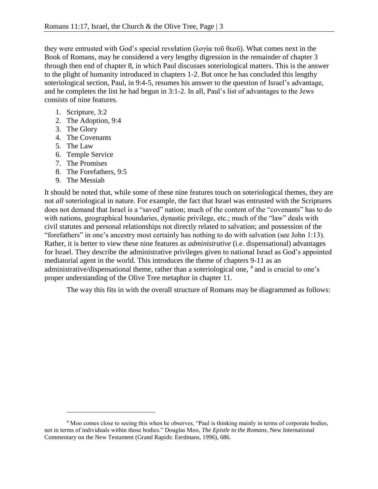they were entrusted with God's special revelation (λογία τοῦ θεοῦ). What comes next in the Book of Romans, may be considered a very lengthy digression in the remainder of chapter 3 through then end of chapter 8, in which Paul discusses soteriological matters. This is the answer to the plight of humanity introduced in chapters 1-2. But once he has concluded this lengthy soteriological section, Paul, in 9:4-5, resumes his answer to the question of Israel's advantage, and he completes the list he had begun in 3:1-2. In all, Paul's list of advantages to the Jews consists of nine features.

- 1. Scripture, 3:2
- 2. The Adoption, 9:4
- 3. The Glory
- 4. The Covenants
- 5. The Law
- 6. Temple Service
- 7. The Promises
- 8. The Forefathers, 9:5
- 9. The Messiah

 $\overline{a}$ 

It should be noted that, while some of these nine features touch on soteriological themes, they are not *all* soteriological in nature. For example, the fact that Israel was entrusted with the Scriptures does not demand that Israel is a "saved" nation; much of the content of the "covenants" has to do with nations, geographical boundaries, dynastic privilege, etc.; much of the "law" deals with civil statutes and personal relationships not directly related to salvation; and possession of the "forefathers" in one's ancestry most certainly has nothing to do with salvation (see John 1:13). Rather, it is better to view these nine features as *administrative* (i.e. dispensational) advantages for Israel. They describe the administrative privileges given to national Israel as God's appointed mediatorial agent in the world. This introduces the theme of chapters 9-11 as an administrative/dispensational theme, rather than a soteriological one, <sup>4</sup> and is crucial to one's proper understanding of the Olive Tree metaphor in chapter 11.

The way this fits in with the overall structure of Romans may be diagrammed as follows:

<sup>4</sup> Moo comes close to seeing this when he observes, "Paul is thinking mainly in terms of corporate bodies, not in terms of individuals within those bodies." Douglas Moo, *The Epistle to the Romans,* New International Commentary on the New Testament (Grand Rapids: Eerdmans, 1996), 686.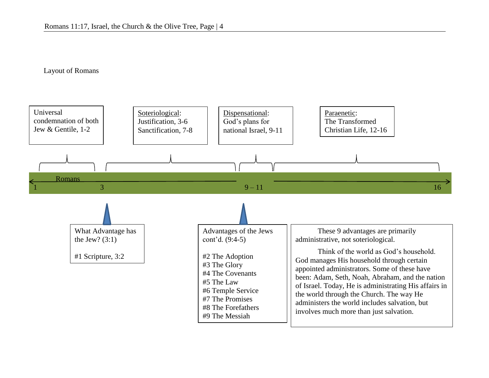#### Layout of Romans

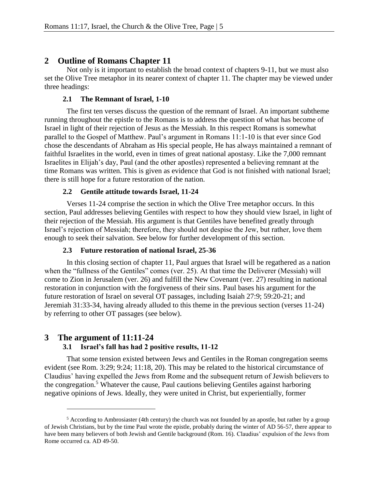# **2 Outline of Romans Chapter 11**

Not only is it important to establish the broad context of chapters 9-11, but we must also set the Olive Tree metaphor in its nearer context of chapter 11. The chapter may be viewed under three headings:

## **2.1 The Remnant of Israel, 1-10**

The first ten verses discuss the question of the remnant of Israel. An important subtheme running throughout the epistle to the Romans is to address the question of what has become of Israel in light of their rejection of Jesus as the Messiah. In this respect Romans is somewhat parallel to the Gospel of Matthew. Paul's argument in Romans 11:1-10 is that ever since God chose the descendants of Abraham as His special people, He has always maintained a remnant of faithful Israelites in the world, even in times of great national apostasy. Like the 7,000 remnant Israelites in Elijah's day, Paul (and the other apostles) represented a believing remnant at the time Romans was written. This is given as evidence that God is not finished with national Israel; there is still hope for a future restoration of the nation.

### **2.2 Gentile attitude towards Israel, 11-24**

Verses 11-24 comprise the section in which the Olive Tree metaphor occurs. In this section, Paul addresses believing Gentiles with respect to how they should view Israel, in light of their rejection of the Messiah. His argument is that Gentiles have benefited greatly through Israel's rejection of Messiah; therefore, they should not despise the Jew, but rather, love them enough to seek their salvation. See below for further development of this section.

#### **2.3 Future restoration of national Israel, 25-36**

In this closing section of chapter 11, Paul argues that Israel will be regathered as a nation when the "fullness of the Gentiles" comes (ver. 25). At that time the Deliverer (Messiah) will come to Zion in Jerusalem (ver. 26) and fulfill the New Covenant (ver. 27) resulting in national restoration in conjunction with the forgiveness of their sins. Paul bases his argument for the future restoration of Israel on several OT passages, including Isaiah 27:9; 59:20-21; and Jeremiah 31:33-34, having already alluded to this theme in the previous section (verses 11-24) by referring to other OT passages (see below).

#### **3 The argument of 11:11-24 3.1 Israel's fall has had 2 positive results, 11-12**

 $\overline{a}$ 

That some tension existed between Jews and Gentiles in the Roman congregation seems evident (see Rom. 3:29; 9:24; 11:18, 20). This may be related to the historical circumstance of Claudius' having expelled the Jews from Rome and the subsequent return of Jewish believers to the congregation.<sup>5</sup> Whatever the cause, Paul cautions believing Gentiles against harboring negative opinions of Jews. Ideally, they were united in Christ, but experientially, former

<sup>&</sup>lt;sup>5</sup> According to Ambrosiaster (4th century) the church was not founded by an apostle, but rather by a group of Jewish Christians, but by the time Paul wrote the epistle, probably during the winter of AD 56-57, there appear to have been many believers of both Jewish and Gentile background (Rom. 16). Claudius' expulsion of the Jews from Rome occurred ca. AD 49-50.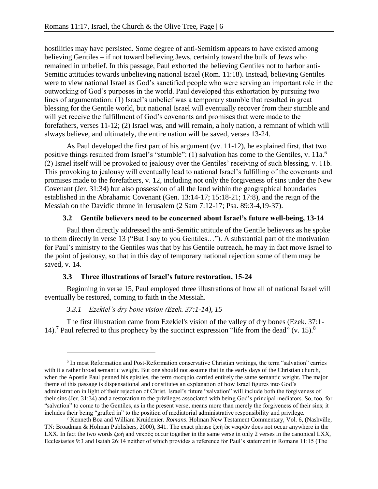hostilities may have persisted. Some degree of anti-Semitism appears to have existed among believing Gentiles – if not toward believing Jews, certainly toward the bulk of Jews who remained in unbelief. In this passage, Paul exhorted the believing Gentiles not to harbor anti-Semitic attitudes towards unbelieving national Israel (Rom. 11:18). Instead, believing Gentiles were to view national Israel as God's sanctified people who were serving an important role in the outworking of God's purposes in the world. Paul developed this exhortation by pursuing two lines of argumentation: (1) Israel's unbelief was a temporary stumble that resulted in great blessing for the Gentile world, but national Israel will eventually recover from their stumble and will yet receive the fulfillment of God's covenants and promises that were made to the forefathers, verses 11-12; (2) Israel was, and will remain, a holy nation, a remnant of which will always believe, and ultimately, the entire nation will be saved, verses 13-24.

As Paul developed the first part of his argument (vv. 11-12), he explained first, that two positive things resulted from Israel's "stumble": (1) salvation has come to the Gentiles, v. 11a.<sup>6</sup> (2) Israel itself will be provoked to jealousy over the Gentiles' receiving of such blessing, v. 11b. This provoking to jealousy will eventually lead to national Israel's fulfilling of the covenants and promises made to the forefathers, v. 12, including not only the forgiveness of sins under the New Covenant (Jer. 31:34) but also possession of all the land within the geographical boundaries established in the Abrahamic Covenant (Gen. 13:14-17; 15:18-21; 17:8), and the reign of the Messiah on the Davidic throne in Jerusalem (2 Sam 7:12-17; Psa. 89:3-4,19-37).

# **3.2 Gentile believers need to be concerned about Israel's future well-being, 13-14**

Paul then directly addressed the anti-Semitic attitude of the Gentile believers as he spoke to them directly in verse 13 ("But I say to you Gentiles…"). A substantial part of the motivation for Paul's ministry to the Gentiles was that by his Gentile outreach, he may in fact move Israel to the point of jealousy, so that in this day of temporary national rejection some of them may be saved, v. 14.

# **3.3 Three illustrations of Israel's future restoration, 15-24**

Beginning in verse 15, Paul employed three illustrations of how all of national Israel will eventually be restored, coming to faith in the Messiah.

# *3.3.1 Ezekiel's dry bone vision (Ezek. 37:1-14), 15*

 $\overline{a}$ 

The first illustration came from Ezekiel's vision of the valley of dry bones (Ezek. 37:1- 14).<sup>7</sup> Paul referred to this prophecy by the succinct expression "life from the dead" (v. 15).<sup>8</sup>

<sup>&</sup>lt;sup>6</sup> In most Reformation and Post-Reformation conservative Christian writings, the term "salvation" carries with it a rather broad semantic weight. But one should not assume that in the early days of the Christian church, when the Apostle Paul penned his epistles, the term σωτηρία carried entirely the same semantic weight. The major theme of this passage is dispensational and constitutes an explanation of how Israel figures into God's administration in light of their rejection of Christ. Israel's future "salvation" will include both the forgiveness of their sins (Jer. 31:34) and a restoration to the privileges associated with being God's principal mediators. So, too, for "salvation" to come to the Gentiles, as in the present verse, means more than merely the forgiveness of their sins; it includes their being "grafted in" to the position of mediatorial administrative responsibility and privilege.

<sup>7</sup> Kenneth Boa and William Kruidenier. *Romans*. Holman New Testament Commentary, Vol. 6, (Nashville, TN: Broadman & Holman Publishers, 2000), 341. The exact phrase ζωὴ ἐκ νεκρῶν does not occur anywhere in the LXX. In fact the two words ζωή and νεκρός occur together in the same verse in only 2 verses in the canonical LXX, Ecclesiastes 9:3 and Isaiah 26:14 neither of which provides a reference for Paul's statement in Romans 11:15 (The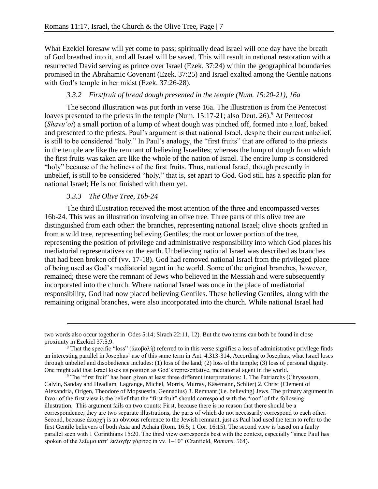What Ezekiel foresaw will yet come to pass; spiritually dead Israel will one day have the breath of God breathed into it, and all Israel will be saved. This will result in national restoration with a resurrected David serving as prince over Israel (Ezek. 37:24) within the geographical boundaries promised in the Abrahamic Covenant (Ezek. 37:25) and Israel exalted among the Gentile nations with God's temple in her midst (Ezek. 37:26-28).

## *3.3.2 Firstfruit of bread dough presented in the temple (Num. 15:20-21), 16a*

The second illustration was put forth in verse 16a. The illustration is from the Pentecost loaves presented to the priests in the temple (Num. 15:17-21; also Deut. 26).<sup>9</sup> At Pentecost (*Shavu'ot*) a small portion of a lump of wheat dough was pinched off, formed into a loaf, baked and presented to the priests. Paul's argument is that national Israel, despite their current unbelief, is still to be considered "holy." In Paul's analogy, the "first fruits" that are offered to the priests in the temple are like the remnant of believing Israelites; whereas the lump of dough from which the first fruits was taken are like the whole of the nation of Israel. The entire lump is considered "holy" because of the holiness of the first fruits. Thus, national Israel, though presently in unbelief, is still to be considered "holy," that is, set apart to God. God still has a specific plan for national Israel; He is not finished with them yet.

### *3.3.3 The Olive Tree, 16b-24*

 $\overline{a}$ 

The third illustration received the most attention of the three and encompassed verses 16b-24. This was an illustration involving an olive tree. Three parts of this olive tree are distinguished from each other: the branches, representing national Israel; olive shoots grafted in from a wild tree, representing believing Gentiles; the root or lower portion of the tree, representing the position of privilege and administrative responsibility into which God places his mediatorial representatives on the earth. Unbelieving national Israel was described as branches that had been broken off (vv. 17-18). God had removed national Israel from the privileged place of being used as God's mediatorial agent in the world. Some of the original branches, however, remained; these were the remnant of Jews who believed in the Messiah and were subsequently incorporated into the church. Where national Israel was once in the place of mediatorial responsibility, God had now placed believing Gentiles. These believing Gentiles, along with the remaining original branches, were also incorporated into the church. While national Israel had

two words also occur together in Odes 5:14; Sirach 22:11, 12). But the two terms can both be found in close proximity in Ezekiel 37:5,9.

<sup>&</sup>lt;sup>8</sup> That the specific "loss" (ἀποβολὴ) referred to in this verse signifies a loss of administrative privilege finds an interesting parallel in Josephus' use of this same term in Ant. 4.313-314. According to Josephus, what Israel loses through unbelief and disobedience includes: (1) loss of the land; (2) loss of the temple; (3) loss of personal dignity. One might add that Israel loses its position as God's representative, mediatorial agent in the world.

<sup>9</sup> The "first fruit" has been given at least three different interpretations: 1. The Patriarchs (Chrysostom, Calvin, Sanday and Headlam, Lagrange, Michel, Morris, Murray, Käsemann, Schlier) 2. Christ (Clement of Alexandria, Origen, Theodore of Mopsuestia, Gennadius) 3. Remnant (i.e. believing) Jews. The primary argument in favor of the first view is the belief that the "first fruit" should correspond with the "root" of the following illustration. This argument fails on two counts: First, because there is no reason that there should be a correspondence; they are two separate illustrations, the parts of which do not necessarily correspond to each other. Second, because ἀπαρχή is an obvious reference to the Jewish remnant, just as Paul had used the term to refer to the first Gentile believers of both Asia and Achaia (Rom. 16:5; 1 Cor. 16:15). The second view is based on a faulty parallel seen with 1 Corinthians 15:20. The third view corresponds best with the context, especially "since Paul has spoken of the λεῖμμα κατ' ἐκλογὴν χάριτος in vv. 1–10" (Cranfield, *Romans*, 564).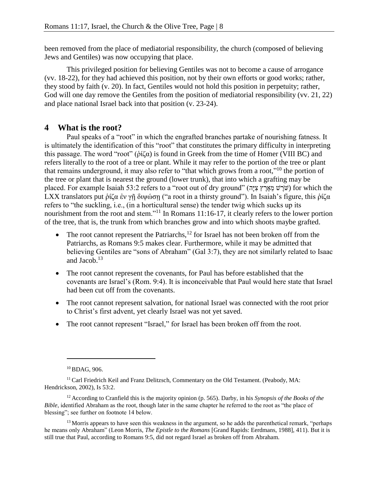been removed from the place of mediatorial responsibility, the church (composed of believing Jews and Gentiles) was now occupying that place.

This privileged position for believing Gentiles was not to become a cause of arrogance (vv. 18-22), for they had achieved this position, not by their own efforts or good works; rather, they stood by faith (v. 20). In fact, Gentiles would not hold this position in perpetuity; rather, God will one day remove the Gentiles from the position of mediatorial responsibility (vv. 21, 22) and place national Israel back into that position (v. 23-24).

# **4 What is the root?**

Paul speaks of a "root" in which the engrafted branches partake of nourishing fatness. It is ultimately the identification of this "root" that constitutes the primary difficulty in interpreting this passage. The word "root" ( $\phi i\zeta\alpha$ ) is found in Greek from the time of Homer (VIII BC) and refers literally to the root of a tree or plant. While it may refer to the portion of the tree or plant that remains underground, it may also refer to "that which grows from a root,"<sup>10</sup> the portion of the tree or plant that is nearest the ground (lower trunk), that into which a grafting may be placed. For example Isaiah 53:2 refers to a "root out of dry ground" (שֹׁרָשׁ מֹּאֲרָץ צִיּה) for which the LXX translators put ῥίζα ἐν γῇ διψώσῃ ("a root in a thirsty ground"). In Isaiah's figure, this ῥίζα refers to "the suckling, i.e., (in a horticultural sense) the tender twig which sucks up its nourishment from the root and stem."<sup>11</sup> In Romans 11:16-17, it clearly refers to the lower portion of the tree, that is, the trunk from which branches grow and into which shoots maybe grafted.

- $\bullet$  The root cannot represent the Patriarchs,<sup>12</sup> for Israel has not been broken off from the Patriarchs, as Romans 9:5 makes clear. Furthermore, while it may be admitted that believing Gentiles are "sons of Abraham" (Gal 3:7), they are not similarly related to Isaac and Jacob.<sup>13</sup>
- The root cannot represent the covenants, for Paul has before established that the covenants are Israel's (Rom. 9:4). It is inconceivable that Paul would here state that Israel had been cut off from the covenants.
- The root cannot represent salvation, for national Israel was connected with the root prior to Christ's first advent, yet clearly Israel was not yet saved.
- The root cannot represent "Israel," for Israel has been broken off from the root.

<sup>10</sup> BDAG, 906.

<sup>&</sup>lt;sup>11</sup> Carl Friedrich Keil and Franz Delitzsch, Commentary on the Old Testament. (Peabody, MA: Hendrickson, 2002), Is 53:2.

<sup>12</sup> According to Cranfield this is the majority opinion (p. 565). Darby, in his *Synopsis of the Books of the Bible*, identified Abraham as the root, though later in the same chapter he referred to the root as "the place of blessing"; see further on footnote 14 below.

<sup>&</sup>lt;sup>13</sup> Morris appears to have seen this weakness in the argument, so he adds the parenthetical remark, "perhaps" he means only Abraham" (Leon Morris, *The Epistle to the Romans* [Grand Rapids: Eerdmans, 1988], 411). But it is still true that Paul, according to Romans 9:5, did not regard Israel as broken off from Abraham.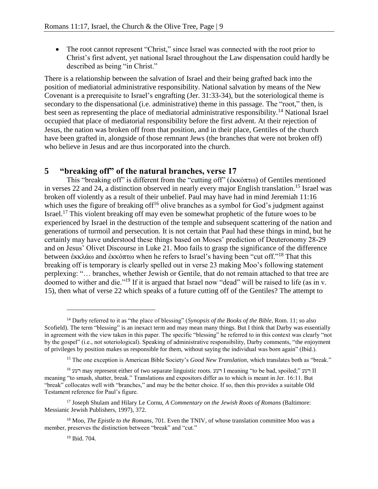• The root cannot represent "Christ," since Israel was connected with the root prior to Christ's first advent, yet national Israel throughout the Law dispensation could hardly be described as being "in Christ."

There is a relationship between the salvation of Israel and their being grafted back into the position of mediatorial administrative responsibility. National salvation by means of the New Covenant is a prerequisite to Israel's engrafting (Jer. 31:33-34), but the soteriological theme is secondary to the dispensational (i.e. administrative) theme in this passage. The "root," then, is best seen as representing the place of mediatorial administrative responsibility.<sup>14</sup> National Israel occupied that place of mediatorial responsibility before the first advent. At their rejection of Jesus, the nation was broken off from that position, and in their place, Gentiles of the church have been grafted in, alongside of those remnant Jews (the branches that were not broken off) who believe in Jesus and are thus incorporated into the church.

# **5 "breaking off" of the natural branches, verse 17**

This "breaking off" is different from the "cutting off" (ἐκκόπτω) of Gentiles mentioned in verses 22 and 24, a distinction observed in nearly every major English translation.<sup>15</sup> Israel was broken off violently as a result of their unbelief. Paul may have had in mind Jeremiah 11:16 which uses the figure of breaking of  $f^{16}$  olive branches as a symbol for God's judgment against Israel.<sup>17</sup> This violent breaking off may even be somewhat prophetic of the future woes to be experienced by Israel in the destruction of the temple and subsequent scattering of the nation and generations of turmoil and persecution. It is not certain that Paul had these things in mind, but he certainly may have understood these things based on Moses' prediction of Deuteronomy 28-29 and on Jesus' Olivet Discourse in Luke 21. Moo fails to grasp the significance of the difference between ἐκκλάω and ἐκκόπτω when he refers to Israel's having been "cut off."<sup>18</sup> That this breaking off is temporary is clearly spelled out in verse 23 making Moo's following statement perplexing: "… branches, whether Jewish or Gentile, that do not remain attached to that tree are doomed to wither and die."<sup>19</sup> If it is argued that Israel now "dead" will be raised to life (as in v. 15), then what of verse 22 which speaks of a future cutting off of the Gentiles? The attempt to

<sup>14</sup> Darby referred to it as "the place of blessing" (*Synopsis of the Books of the Bible*, Rom. 11; so also Scofield). The term "blessing" is an inexact term and may mean many things. But I think that Darby was essentially in agreement with the view taken in this paper. The specific "blessing" he referred to in this context was clearly "not by the gospel" (i.e., not soteriological). Speaking of administrative responsibility, Darby comments, "the enjoyment of privileges by position makes us responsible for them, without saying the individual was born again" (Ibid.).

<sup>15</sup> The one exception is American Bible Society's *Good New Translation*, which translates both as "break."

<sup>&</sup>lt;sup>16</sup> רעע may represent either of two separate linguistic roots. רעע I meaning "to be bad, spoiled;" רעע meaning "to smash, shatter, break." Translations and expositors differ as to which is meant in Jer. 16:11. But "break" collocates well with "branches," and may be the better choice. If so, then this provides a suitable Old Testament reference for Paul's figure.

<sup>17</sup> Joseph Shulam and Hilary Le Cornu, *A Commentary on the Jewish Roots of Romans* (Baltimore: Messianic Jewish Publishers, 1997), 372.

<sup>&</sup>lt;sup>18</sup> Moo, *The Epistle to the Romans*, 701. Even the TNIV, of whose translation committee Moo was a member, preserves the distinction between "break" and "cut."

<sup>19</sup> Ibid. 704.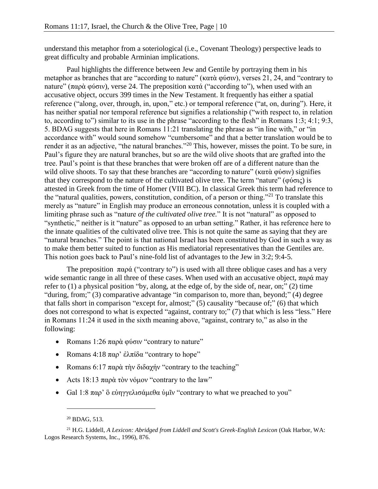understand this metaphor from a soteriological (i.e., Covenant Theology) perspective leads to great difficulty and probable Arminian implications.

Paul highlights the difference between Jew and Gentile by portraying them in his metaphor as branches that are "according to nature" (κατὰ φύσιν), verses 21, 24, and "contrary to nature" (παρὰ φύσιν), verse 24. The preposition κατά ("according to"), when used with an accusative object, occurs 399 times in the New Testament. It frequently has either a spatial reference ("along, over, through, in, upon," etc.) or temporal reference ("at, on, during"). Here, it has neither spatial nor temporal reference but signifies a relationship ("with respect to, in relation to, according to") similar to its use in the phrase "according to the flesh" in Romans 1:3; 4:1; 9:3, 5. BDAG suggests that here in Romans 11:21 translating the phrase as "in line with," or "in accordance with" would sound somehow "cumbersome" and that a better translation would be to render it as an adjective, "the natural branches."<sup>20</sup> This, however, misses the point. To be sure, in Paul's figure they are natural branches, but so are the wild olive shoots that are grafted into the tree. Paul's point is that these branches that were broken off are of a different nature than the wild olive shoots. To say that these branches are "according to nature" (κατὰ φύσιν) signifies that they correspond to the nature of the cultivated olive tree. The term "nature" (φύσις) is attested in Greek from the time of Homer (VIII BC). In classical Greek this term had reference to the "natural qualities, powers, constitution, condition, of a person or thing."<sup>21</sup> To translate this merely as "nature" in English may produce an erroneous connotation, unless it is coupled with a limiting phrase such as "nature *of the cultivated olive tree.*" It is not "natural" as opposed to "synthetic," neither is it "nature" as opposed to an urban setting." Rather, it has reference here to the innate qualities of the cultivated olive tree. This is not quite the same as saying that they are "natural branches." The point is that national Israel has been constituted by God in such a way as to make them better suited to function as His mediatorial representatives than the Gentiles are. This notion goes back to Paul's nine-fold list of advantages to the Jew in 3:2; 9:4-5.

The preposition  $\pi \alpha \rho \dot{\alpha}$  ("contrary to") is used with all three oblique cases and has a very wide semantic range in all three of these cases. When used with an accusative object,  $\pi \alpha \rho \dot{\alpha}$  may refer to  $(1)$  a physical position "by, along, at the edge of, by the side of, near, on;"  $(2)$  time "during, from;" (3) comparative advantage "in comparison to, more than, beyond;" (4) degree that falls short in comparison "except for, almost;" (5) causality "because of;" (6) that which does not correspond to what is expected "against, contrary to;" (7) that which is less "less." Here in Romans 11:24 it used in the sixth meaning above, "against, contrary to," as also in the following:

- Romans 1:26 παρὰ φύσιν "contrary to nature"
- Romans 4:18 παρ' ἐλπίδα "contrary to hope"
- Romans 6:17 παρὰ τὴν διδαχήν "contrary to the teaching"
- Acts 18:13 παρὰ τὸν νόμον "contrary to the law"
- Gal 1:8 παρ' ὃ εὐηγγελισάμεθα ὑμῖν "contrary to what we preached to you"

 $20$  BDAG, 513.

<sup>21</sup> H.G. Liddell, *A Lexicon: Abridged from Liddell and Scott's Greek-English Lexicon* (Oak Harbor, WA: Logos Research Systems, Inc., 1996), 876.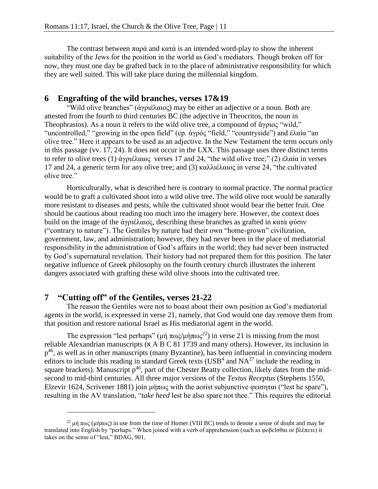The contrast between  $\pi\omega\alpha$  and κατά is an intended word-play to show the inherent suitability of the Jews for the position in the world as God's mediators. Though broken off for now, they must one day be grafted back in to the place of administrative responsibility for which they are well suited. This will take place during the millennial kingdom.

## **6 Engrafting of the wild branches, verses 17&19**

"Wild olive branches" (ἀγριέλαιος) may be either an adjective or a noun. Both are attested from the fourth to third centuries BC (the adjective in Theocritos, the noun in Theophrastos). As a noun it refers to the wild olive tree, a compound of ἄγριος "wild," "uncontrolled," "growing in the open field" (cp. ἀγρός "field," "countryside") and ἐλαία "an olive tree." Here it appears to be used as an adjective. In the New Testament the term occurs only in this passage (vv. 17, 24). It does not occur in the LXX. This passage uses three distinct terms to refer to olive trees (1) ἀγριέλαιος verses 17 and 24, "the wild olive tree;" (2) ἐλαία in verses 17 and 24, a generic term for any olive tree; and (3) καλλιέλαιος in verse 24, "the cultivated olive tree."

Horticulturally, what is described here is contrary to normal practice. The normal practice would be to graft a cultivated shoot into a wild olive tree. The wild olive root would be naturally more resistant to diseases and pests, while the cultivated shoot would bear the better fruit. One should be cautious about reading too much into the imagery here. However, the context does build on the image of the ἀγριέλαιος, describing these branches as grafted in κατὰ φύσιν ("contrary to nature"). The Gentiles by nature had their own "home-grown" civilization, government, law, and administration; however, they had never been in the place of mediatorial responsibility in the administration of God's affairs in the world; they had never been instructed by God's supernatural revelation. Their history had not prepared them for this position. The later negative influence of Greek philosophy on the fourth century church illustrates the inherent dangers associated with grafting these wild olive shoots into the cultivated tree.

## **7 "Cutting off" of the Gentiles, verses 21-22**

 $\overline{a}$ 

The reason the Gentiles were not to boast about their own position as God's mediatorial agents in the world, is expressed in verse 21, namely, that God would one day remove them from that position and restore national Israel as His mediatorial agent in the world.

The expression "lest perhaps" (μή  $\pi \omega \varsigma / \mu \eta \pi \omega \varsigma^{22}$ ) in verse 21 is missing from the most reliable Alexandrian manuscripts (א A B C 81 1739 and many others). However, its inclusion in  $p^{46}$ , as well as in other manuscripts (many Byzantine), has been influential in convincing modern editors to include this reading in standard Greek texts ( $\text{USB}^4$  and  $\text{NA}^{27}$  include the reading in square brackets). Manuscript  $p^{46}$ , part of the Chester Beatty collection, likely dates from the midsecond to mid-third centuries. All three major versions of the *Textus Receptus* (Stephens 1550, Elzevir 1624, Scrivener 1881) join μήπως with the aorist subjunctive φεισηται ("lest he spare"), resulting in the AV translation, "*take heed* lest he also spare not thee." This requires the editorial

<sup>&</sup>lt;sup>22</sup> μή πως (μήπως) in use from the time of Homer (VIII BC) tends to denote a sense of doubt and may be translated into English by "perhaps." When joined with a verb of apprehension (such as φοβεῖσθαι or βλέπετε) it takes on the sense of "lest," BDAG, 901.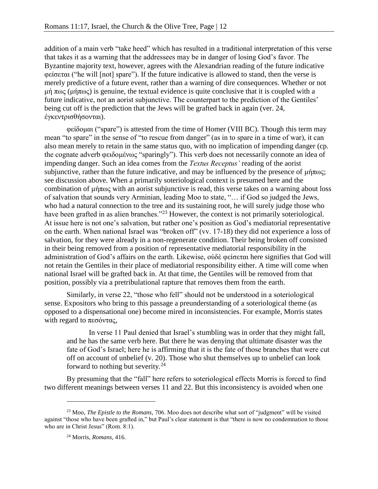addition of a main verb "take heed" which has resulted in a traditional interpretation of this verse that takes it as a warning that the addressees may be in danger of losing God's favor. The Byzantine majority text, however, agrees with the Alexandrian reading of the future indicative φείσεται ("he will [not] spare"). If the future indicative is allowed to stand, then the verse is merely predictive of a future event, rather than a warning of dire consequences. Whether or not μή πως (μήπως) is genuine, the textual evidence is quite conclusive that it is coupled with a future indicative, not an aorist subjunctive. The counterpart to the prediction of the Gentiles' being cut off is the prediction that the Jews will be grafted back in again (ver. 24, ἐγκεντρισθήσονται).

φείδομαι ("spare") is attested from the time of Homer (VIII BC). Though this term may mean "to spare" in the sense of "to rescue from danger" (as in to spare in a time of war), it can also mean merely to retain in the same status quo, with no implication of impending danger (cp. the cognate adverb φειδομένως "sparingly"). This verb does not necessarily connote an idea of impending danger. Such an idea comes from the *Textus Receptus'* reading of the aorist subjunctive, rather than the future indicative, and may be influenced by the presence of  $\mu\eta\pi\omega$ ; see discussion above. When a primarily soteriological context is presumed here and the combination of μήπως with an aorist subjunctive is read, this verse takes on a warning about loss of salvation that sounds very Arminian, leading Moo to state, "… if God so judged the Jews, who had a natural connection to the tree and its sustaining root, he will surely judge those who have been grafted in as alien branches."<sup>23</sup> However, the context is not primarily soteriological. At issue here is not one's salvation, but rather one's position as God's mediatorial representative on the earth. When national Israel was "broken off" (vv. 17-18) they did not experience a loss of salvation, for they were already in a non-regenerate condition. Their being broken off consisted in their being removed from a position of representative mediatorial responsibility in the administration of God's affairs on the earth. Likewise, οὐδὲ φείσεται here signifies that God will not retain the Gentiles in their place of mediatorial responsibility either. A time will come when national Israel will be grafted back in. At that time, the Gentiles will be removed from that position, possibly via a pretribulational rapture that removes them from the earth.

Similarly, in verse 22, "those who fell" should not be understood in a soteriological sense. Expositors who bring to this passage a preunderstanding of a soteriological theme (as opposed to a dispensational one) become mired in inconsistencies. For example, Morris states with regard to πεσόντας,

In verse 11 Paul denied that Israel's stumbling was in order that they might fall, and he has the same verb here. But there he was denying that ultimate disaster was the fate of God's Israel; here he is affirming that it is the fate of those branches that were cut off on account of unbelief (v. 20). Those who shut themselves up to unbelief can look forward to nothing but severity.<sup>24</sup>

By presuming that the "fall" here refers to soteriological effects Morris is forced to find two different meanings between verses 11 and 22. But this inconsistency is avoided when one

<sup>23</sup> Moo, *The Epistle to the Romans,* 706. Moo does not describe what sort of "judgment" will be visited against "those who have been grafted in," but Paul's clear statement is that "there is now no condemnation to those who are in Christ Jesus" (Rom. 8:1).

<sup>24</sup> Morris, *Romans,* 416.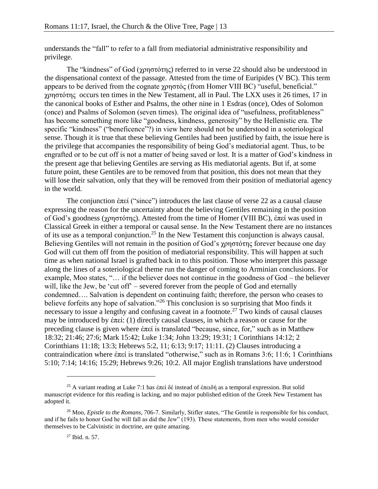understands the "fall" to refer to a fall from mediatorial administrative responsibility and privilege.

The "kindness" of God (χρηστότης) referred to in verse 22 should also be understood in the dispensational context of the passage. Attested from the time of Euripides (V BC). This term appears to be derived from the cognate χρηστός (from Homer VIII BC) "useful, beneficial." χρηστότης occurs ten times in the New Testament, all in Paul. The LXX uses it 26 times, 17 in the canonical books of Esther and Psalms, the other nine in 1 Esdras (once), Odes of Solomon (once) and Psalms of Solomon (seven times). The original idea of "usefulness, profitableness" has become something more like "goodness, kindness, generosity" by the Hellenistic era. The specific "kindness" ("beneficence"?) in view here should not be understood in a soteriological sense. Though it is true that these believing Gentiles had been justified by faith, the issue here is the privilege that accompanies the responsibility of being God's mediatorial agent. Thus, to be engrafted or to be cut off is not a matter of being saved or lost. It is a matter of God's kindness in the present age that believing Gentiles are serving as His mediatorial agents. But if, at some future point, these Gentiles are to be removed from that position, this does not mean that they will lose their salvation, only that they will be removed from their position of mediatorial agency in the world.

The conjunction ἐπεί ("since") introduces the last clause of verse 22 as a causal clause expressing the reason for the uncertainty about the believing Gentiles remaining in the position of God's goodness (χρηστότης). Attested from the time of Homer (VIII BC), ἐπεί was used in Classical Greek in either a temporal or causal sense. In the New Testament there are no instances of its use as a temporal conjunction.<sup>25</sup> In the New Testament this conjunction is always causal. Believing Gentiles will not remain in the position of God's χρηστότης forever because one day God will cut them off from the position of mediatorial responsibility. This will happen at such time as when national Israel is grafted back in to this position. Those who interpret this passage along the lines of a soteriological theme run the danger of coming to Arminian conclusions. For example, Moo states, "… if the believer does not continue in the goodness of God – the believer will, like the Jew, be 'cut off' – severed forever from the people of God and eternally condemned…. Salvation is dependent on continuing faith; therefore, the person who ceases to believe forfeits any hope of salvation."<sup>26</sup> This conclusion is so surprising that Moo finds it necessary to issue a lengthy and confusing caveat in a footnote.<sup>27</sup> Two kinds of causal clauses may be introduced by ἐπεί: (1) directly causal clauses, in which a reason or cause for the preceding clause is given where ἐπεί is translated "because, since, for," such as in Matthew 18:32; 21:46; 27:6; Mark 15:42; Luke 1:34; John 13:29; 19:31; 1 Corinthians 14:12; 2 Corinthians 11:18; 13:3; Hebrews 5:2, 11; 6:13; 9:17; 11:11. (2) Clauses introducing a contraindication where ἐπεί is translated "otherwise," such as in Romans 3:6; 11:6; 1 Corinthians 5:10; 7:14; 14:16; 15:29; Hebrews 9:26; 10:2. All major English translations have understood

<sup>&</sup>lt;sup>25</sup> A variant reading at Luke 7:1 has έπει δέ instead of έπειδή as a temporal expression. But solid manuscript evidence for this reading is lacking, and no major published edition of the Greek New Testament has adopted it.

<sup>26</sup> Moo, *Epistle to the Romans,* 706-7. Similarly, Stifler states, "The Gentile is responsible for his conduct, and if he fails to honor God he will fall as did the Jew" (193). These statements, from men who would consider themselves to be Calvinistic in doctrine, are quite amazing.

 $27$  Ibid. n. 57.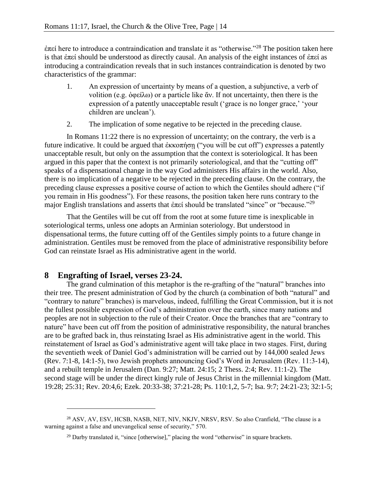ἐπεί here to introduce a contraindication and translate it as "otherwise."<sup>28</sup> The position taken here is that ἐπεί should be understood as directly causal. An analysis of the eight instances of ἐπεί as introducing a contraindication reveals that in such instances contraindication is denoted by two characteristics of the grammar:

- 1. An expression of uncertainty by means of a question, a subjunctive, a verb of volition (e.g. ὀφείλω) or a particle like ἄν. If not uncertainty, then there is the expression of a patently unacceptable result ('grace is no longer grace,' 'your children are unclean').
- 2. The implication of some negative to be rejected in the preceding clause.

In Romans 11:22 there is no expression of uncertainty; on the contrary, the verb is a future indicative. It could be argued that ἐκκοπήσῃ ("you will be cut off") expresses a patently unacceptable result, but only on the assumption that the context is soteriological. It has been argued in this paper that the context is not primarily soteriological, and that the "cutting off" speaks of a dispensational change in the way God administers His affairs in the world. Also, there is no implication of a negative to be rejected in the preceding clause. On the contrary, the preceding clause expresses a positive course of action to which the Gentiles should adhere ("if you remain in His goodness"). For these reasons, the position taken here runs contrary to the major English translations and asserts that  $\epsilon \pi \epsilon$  should be translated "since" or "because."<sup>29</sup>

That the Gentiles will be cut off from the root at some future time is inexplicable in soteriological terms, unless one adopts an Arminian soteriology. But understood in dispensational terms, the future cutting off of the Gentiles simply points to a future change in administration. Gentiles must be removed from the place of administrative responsibility before God can reinstate Israel as His administrative agent in the world.

# **8 Engrafting of Israel, verses 23-24.**

 $\overline{a}$ 

The grand culmination of this metaphor is the re-grafting of the "natural" branches into their tree. The present administration of God by the church (a combination of both "natural" and "contrary to nature" branches) is marvelous, indeed, fulfilling the Great Commission, but it is not the fullest possible expression of God's administration over the earth, since many nations and peoples are not in subjection to the rule of their Creator. Once the branches that are "contrary to nature" have been cut off from the position of administrative responsibility, the natural branches are to be grafted back in, thus reinstating Israel as His administrative agent in the world. This reinstatement of Israel as God's administrative agent will take place in two stages. First, during the seventieth week of Daniel God's administration will be carried out by 144,000 sealed Jews (Rev. 7:1-8, 14:1-5), two Jewish prophets announcing God's Word in Jerusalem (Rev. 11:3-14), and a rebuilt temple in Jerusalem (Dan. 9:27; Matt. 24:15; 2 Thess. 2:4; Rev. 11:1-2). The second stage will be under the direct kingly rule of Jesus Christ in the millennial kingdom (Matt. 19:28; 25:31; Rev. 20:4,6; Ezek. 20:33-38; 37:21-28; Ps. 110:1,2, 5-7; Isa. 9:7; 24:21-23; 32:1-5;

<sup>&</sup>lt;sup>28</sup> ASV, AV, ESV, HCSB, NASB, NET, NIV, NKJV, NRSV, RSV. So also Cranfield, "The clause is a warning against a false and unevangelical sense of security," 570.

<sup>&</sup>lt;sup>29</sup> Darby translated it, "since [otherwise]," placing the word "otherwise" in square brackets.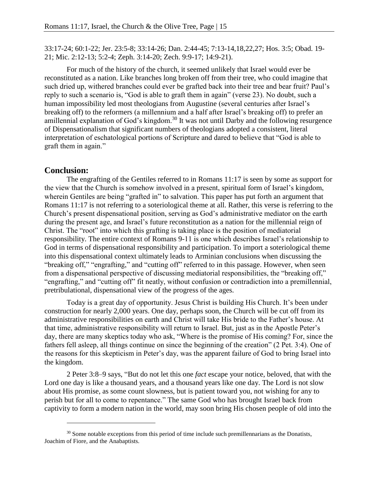33:17-24; 60:1-22; Jer. 23:5-8; 33:14-26; Dan. 2:44-45; 7:13-14,18,22,27; Hos. 3:5; Obad. 19- 21; Mic. 2:12-13; 5:2-4; Zeph. 3:14-20; Zech. 9:9-17; 14:9-21).

For much of the history of the church, it seemed unlikely that Israel would ever be reconstituted as a nation. Like branches long broken off from their tree, who could imagine that such dried up, withered branches could ever be grafted back into their tree and bear fruit? Paul's reply to such a scenario is, "God is able to graft them in again" (verse 23). No doubt, such a human impossibility led most theologians from Augustine (several centuries after Israel's breaking off) to the reformers (a millennium and a half after Israel's breaking off) to prefer an amillennial explanation of God's kingdom.<sup>30</sup> It was not until Darby and the following resurgence of Dispensationalism that significant numbers of theologians adopted a consistent, literal interpretation of eschatological portions of Scripture and dared to believe that "God is able to graft them in again."

### **Conclusion:**

 $\overline{a}$ 

The engrafting of the Gentiles referred to in Romans 11:17 is seen by some as support for the view that the Church is somehow involved in a present, spiritual form of Israel's kingdom, wherein Gentiles are being "grafted in" to salvation. This paper has put forth an argument that Romans 11:17 is not referring to a soteriological theme at all. Rather, this verse is referring to the Church's present dispensational position, serving as God's administrative mediator on the earth during the present age, and Israel's future reconstitution as a nation for the millennial reign of Christ. The "root" into which this grafting is taking place is the position of mediatorial responsibility. The entire context of Romans 9-11 is one which describes Israel's relationship to God in terms of dispensational responsibility and participation. To import a soteriological theme into this dispensational context ultimately leads to Arminian conclusions when discussing the "breaking off," "engrafting," and "cutting off" referred to in this passage. However, when seen from a dispensational perspective of discussing mediatorial responsibilities, the "breaking off," "engrafting," and "cutting off" fit neatly, without confusion or contradiction into a premillennial, pretribulational, dispensational view of the progress of the ages.

Today is a great day of opportunity. Jesus Christ is building His Church. It's been under construction for nearly 2,000 years. One day, perhaps soon, the Church will be cut off from its administrative responsibilities on earth and Christ will take His bride to the Father's house. At that time, administrative responsibility will return to Israel. But, just as in the Apostle Peter's day, there are many skeptics today who ask, "Where is the promise of His coming? For, since the fathers fell asleep, all things continue on since the beginning of the creation" (2 Pet. 3:4). One of the reasons for this skepticism in Peter's day, was the apparent failure of God to bring Israel into the kingdom.

2 Peter 3:8–9 says, "But do not let this one *fact* escape your notice, beloved, that with the Lord one day is like a thousand years, and a thousand years like one day. The Lord is not slow about His promise, as some count slowness, but is patient toward you, not wishing for any to perish but for all to come to repentance." The same God who has brought Israel back from captivity to form a modern nation in the world, may soon bring His chosen people of old into the

 $30$  Some notable exceptions from this period of time include such premillennarians as the Donatists, Joachim of Fiore, and the Anabaptists.